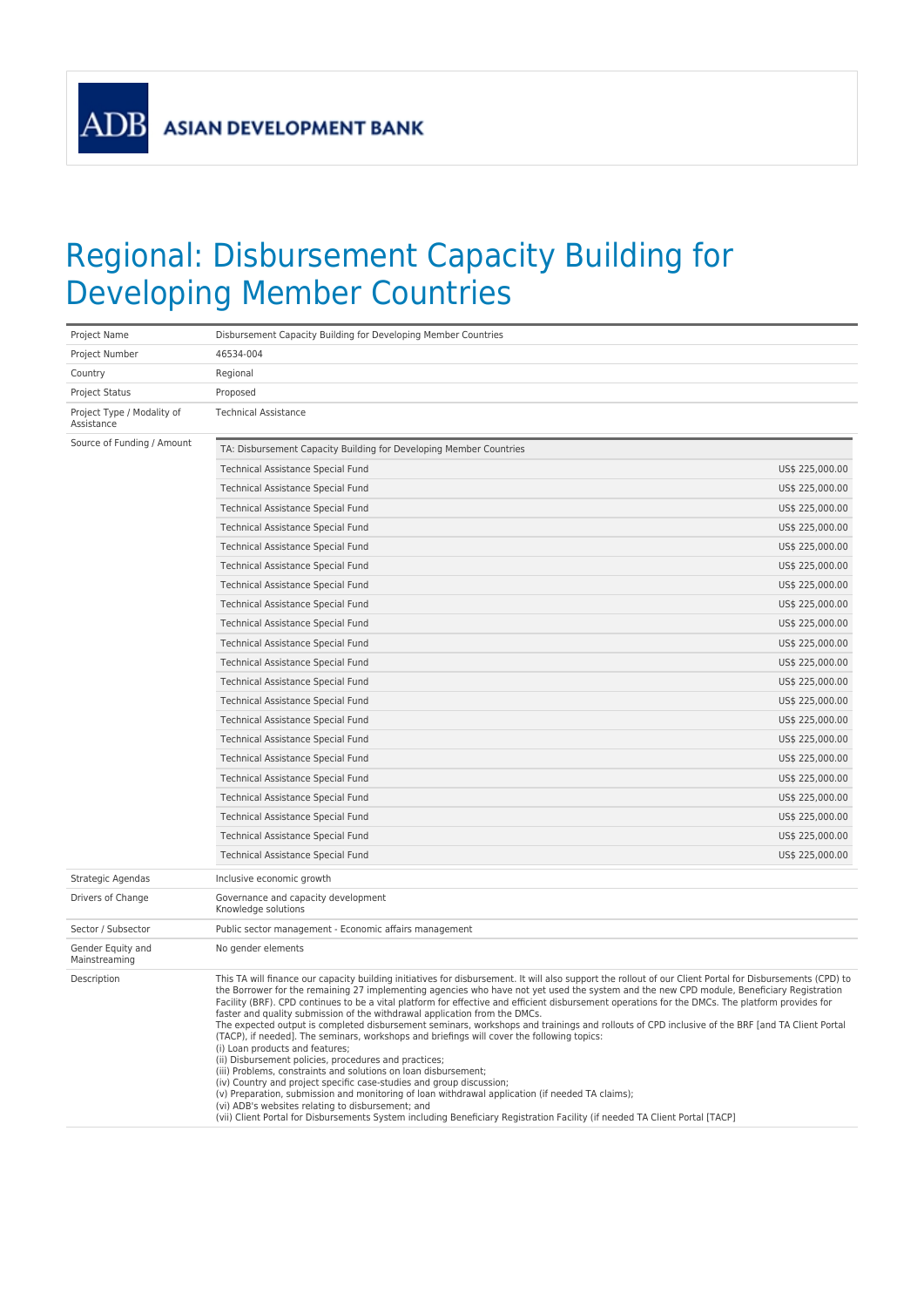**ADB** 

## Regional: Disbursement Capacity Building for Developing Member Countries

| Project Name                             | Disbursement Capacity Building for Developing Member Countries                                                                                                                                                                                                                                                                                                                                                                                                                                                                                                                                                                                                                                                                                                                                                                                                                                                                                                                                                                                                                                                                                                                                                                                                                                                          |                 |
|------------------------------------------|-------------------------------------------------------------------------------------------------------------------------------------------------------------------------------------------------------------------------------------------------------------------------------------------------------------------------------------------------------------------------------------------------------------------------------------------------------------------------------------------------------------------------------------------------------------------------------------------------------------------------------------------------------------------------------------------------------------------------------------------------------------------------------------------------------------------------------------------------------------------------------------------------------------------------------------------------------------------------------------------------------------------------------------------------------------------------------------------------------------------------------------------------------------------------------------------------------------------------------------------------------------------------------------------------------------------------|-----------------|
| Project Number                           | 46534-004                                                                                                                                                                                                                                                                                                                                                                                                                                                                                                                                                                                                                                                                                                                                                                                                                                                                                                                                                                                                                                                                                                                                                                                                                                                                                                               |                 |
| Country                                  | Regional                                                                                                                                                                                                                                                                                                                                                                                                                                                                                                                                                                                                                                                                                                                                                                                                                                                                                                                                                                                                                                                                                                                                                                                                                                                                                                                |                 |
| <b>Project Status</b>                    | Proposed                                                                                                                                                                                                                                                                                                                                                                                                                                                                                                                                                                                                                                                                                                                                                                                                                                                                                                                                                                                                                                                                                                                                                                                                                                                                                                                |                 |
| Project Type / Modality of<br>Assistance | <b>Technical Assistance</b>                                                                                                                                                                                                                                                                                                                                                                                                                                                                                                                                                                                                                                                                                                                                                                                                                                                                                                                                                                                                                                                                                                                                                                                                                                                                                             |                 |
| Source of Funding / Amount               | TA: Disbursement Capacity Building for Developing Member Countries                                                                                                                                                                                                                                                                                                                                                                                                                                                                                                                                                                                                                                                                                                                                                                                                                                                                                                                                                                                                                                                                                                                                                                                                                                                      |                 |
|                                          | Technical Assistance Special Fund                                                                                                                                                                                                                                                                                                                                                                                                                                                                                                                                                                                                                                                                                                                                                                                                                                                                                                                                                                                                                                                                                                                                                                                                                                                                                       | US\$ 225,000.00 |
|                                          | <b>Technical Assistance Special Fund</b>                                                                                                                                                                                                                                                                                                                                                                                                                                                                                                                                                                                                                                                                                                                                                                                                                                                                                                                                                                                                                                                                                                                                                                                                                                                                                | US\$ 225,000.00 |
|                                          | Technical Assistance Special Fund                                                                                                                                                                                                                                                                                                                                                                                                                                                                                                                                                                                                                                                                                                                                                                                                                                                                                                                                                                                                                                                                                                                                                                                                                                                                                       | US\$ 225,000.00 |
|                                          | Technical Assistance Special Fund                                                                                                                                                                                                                                                                                                                                                                                                                                                                                                                                                                                                                                                                                                                                                                                                                                                                                                                                                                                                                                                                                                                                                                                                                                                                                       | US\$ 225,000.00 |
|                                          | Technical Assistance Special Fund                                                                                                                                                                                                                                                                                                                                                                                                                                                                                                                                                                                                                                                                                                                                                                                                                                                                                                                                                                                                                                                                                                                                                                                                                                                                                       | US\$ 225,000.00 |
|                                          | Technical Assistance Special Fund                                                                                                                                                                                                                                                                                                                                                                                                                                                                                                                                                                                                                                                                                                                                                                                                                                                                                                                                                                                                                                                                                                                                                                                                                                                                                       | US\$ 225,000.00 |
|                                          | Technical Assistance Special Fund                                                                                                                                                                                                                                                                                                                                                                                                                                                                                                                                                                                                                                                                                                                                                                                                                                                                                                                                                                                                                                                                                                                                                                                                                                                                                       | US\$ 225,000.00 |
|                                          | Technical Assistance Special Fund                                                                                                                                                                                                                                                                                                                                                                                                                                                                                                                                                                                                                                                                                                                                                                                                                                                                                                                                                                                                                                                                                                                                                                                                                                                                                       | US\$ 225,000.00 |
|                                          | Technical Assistance Special Fund                                                                                                                                                                                                                                                                                                                                                                                                                                                                                                                                                                                                                                                                                                                                                                                                                                                                                                                                                                                                                                                                                                                                                                                                                                                                                       | US\$ 225,000.00 |
|                                          | Technical Assistance Special Fund                                                                                                                                                                                                                                                                                                                                                                                                                                                                                                                                                                                                                                                                                                                                                                                                                                                                                                                                                                                                                                                                                                                                                                                                                                                                                       | US\$ 225,000.00 |
|                                          | <b>Technical Assistance Special Fund</b>                                                                                                                                                                                                                                                                                                                                                                                                                                                                                                                                                                                                                                                                                                                                                                                                                                                                                                                                                                                                                                                                                                                                                                                                                                                                                | US\$ 225,000.00 |
|                                          | Technical Assistance Special Fund                                                                                                                                                                                                                                                                                                                                                                                                                                                                                                                                                                                                                                                                                                                                                                                                                                                                                                                                                                                                                                                                                                                                                                                                                                                                                       | US\$ 225,000.00 |
|                                          | Technical Assistance Special Fund                                                                                                                                                                                                                                                                                                                                                                                                                                                                                                                                                                                                                                                                                                                                                                                                                                                                                                                                                                                                                                                                                                                                                                                                                                                                                       | US\$ 225,000.00 |
|                                          | Technical Assistance Special Fund                                                                                                                                                                                                                                                                                                                                                                                                                                                                                                                                                                                                                                                                                                                                                                                                                                                                                                                                                                                                                                                                                                                                                                                                                                                                                       | US\$ 225,000.00 |
|                                          | Technical Assistance Special Fund                                                                                                                                                                                                                                                                                                                                                                                                                                                                                                                                                                                                                                                                                                                                                                                                                                                                                                                                                                                                                                                                                                                                                                                                                                                                                       | US\$ 225,000.00 |
|                                          | Technical Assistance Special Fund                                                                                                                                                                                                                                                                                                                                                                                                                                                                                                                                                                                                                                                                                                                                                                                                                                                                                                                                                                                                                                                                                                                                                                                                                                                                                       | US\$ 225,000.00 |
|                                          | Technical Assistance Special Fund                                                                                                                                                                                                                                                                                                                                                                                                                                                                                                                                                                                                                                                                                                                                                                                                                                                                                                                                                                                                                                                                                                                                                                                                                                                                                       | US\$ 225,000.00 |
|                                          | <b>Technical Assistance Special Fund</b>                                                                                                                                                                                                                                                                                                                                                                                                                                                                                                                                                                                                                                                                                                                                                                                                                                                                                                                                                                                                                                                                                                                                                                                                                                                                                | US\$ 225,000.00 |
|                                          | Technical Assistance Special Fund                                                                                                                                                                                                                                                                                                                                                                                                                                                                                                                                                                                                                                                                                                                                                                                                                                                                                                                                                                                                                                                                                                                                                                                                                                                                                       | US\$ 225,000.00 |
|                                          | Technical Assistance Special Fund                                                                                                                                                                                                                                                                                                                                                                                                                                                                                                                                                                                                                                                                                                                                                                                                                                                                                                                                                                                                                                                                                                                                                                                                                                                                                       | US\$ 225,000.00 |
|                                          | Technical Assistance Special Fund                                                                                                                                                                                                                                                                                                                                                                                                                                                                                                                                                                                                                                                                                                                                                                                                                                                                                                                                                                                                                                                                                                                                                                                                                                                                                       | US\$ 225,000.00 |
| Strategic Agendas                        | Inclusive economic growth                                                                                                                                                                                                                                                                                                                                                                                                                                                                                                                                                                                                                                                                                                                                                                                                                                                                                                                                                                                                                                                                                                                                                                                                                                                                                               |                 |
| Drivers of Change                        | Governance and capacity development<br>Knowledge solutions                                                                                                                                                                                                                                                                                                                                                                                                                                                                                                                                                                                                                                                                                                                                                                                                                                                                                                                                                                                                                                                                                                                                                                                                                                                              |                 |
| Sector / Subsector                       | Public sector management - Economic affairs management                                                                                                                                                                                                                                                                                                                                                                                                                                                                                                                                                                                                                                                                                                                                                                                                                                                                                                                                                                                                                                                                                                                                                                                                                                                                  |                 |
| Gender Equity and<br>Mainstreaming       | No gender elements                                                                                                                                                                                                                                                                                                                                                                                                                                                                                                                                                                                                                                                                                                                                                                                                                                                                                                                                                                                                                                                                                                                                                                                                                                                                                                      |                 |
| Description                              | This TA will finance our capacity building initiatives for disbursement. It will also support the rollout of our Client Portal for Disbursements (CPD) to<br>the Borrower for the remaining 27 implementing agencies who have not yet used the system and the new CPD module, Beneficiary Registration<br>Facility (BRF). CPD continues to be a vital platform for effective and efficient disbursement operations for the DMCs. The platform provides for<br>faster and quality submission of the withdrawal application from the DMCs.<br>The expected output is completed disbursement seminars, workshops and trainings and rollouts of CPD inclusive of the BRF [and TA Client Portal<br>(TACP), if needed]. The seminars, workshops and briefings will cover the following topics:<br>(i) Loan products and features;<br>(ii) Disbursement policies, procedures and practices;<br>(iii) Problems, constraints and solutions on loan disbursement;<br>(iv) Country and project specific case-studies and group discussion;<br>(v) Preparation, submission and monitoring of loan withdrawal application (if needed TA claims);<br>(vi) ADB's websites relating to disbursement; and<br>(vii) Client Portal for Disbursements System including Beneficiary Registration Facility (if needed TA Client Portal [TACP] |                 |